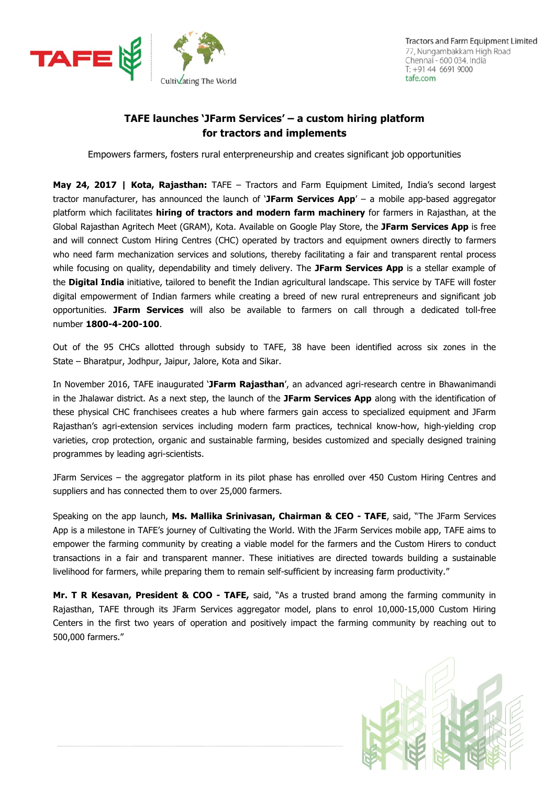

## **TAFE launches 'JFarm Services' – a custom hiring platform for tractors and implements**

Empowers farmers, fosters rural enterpreneurship and creates significant job opportunities

**May 24, 2017 | Kota, Rajasthan:** TAFE – Tractors and Farm Equipment Limited, India's second largest tractor manufacturer, has announced the launch of '**JFarm Services App**' – a mobile app-based aggregator platform which facilitates **hiring of tractors and modern farm machinery** for farmers in Rajasthan, at the Global Rajasthan Agritech Meet (GRAM), Kota. Available on Google Play Store, the **JFarm Services App** is free and will connect Custom Hiring Centres (CHC) operated by tractors and equipment owners directly to farmers who need farm mechanization services and solutions, thereby facilitating a fair and transparent rental process while focusing on quality, dependability and timely delivery. The **JFarm Services App** is a stellar example of the **Digital India** initiative, tailored to benefit the Indian agricultural landscape. This service by TAFE will foster digital empowerment of Indian farmers while creating a breed of new rural entrepreneurs and significant job opportunities. **JFarm Services** will also be available to farmers on call through a dedicated toll-free number **1800-4-200-100**.

Out of the 95 CHCs allotted through subsidy to TAFE, 38 have been identified across six zones in the State – Bharatpur, Jodhpur, Jaipur, Jalore, Kota and Sikar.

In November 2016, TAFE inaugurated '**JFarm Rajasthan**', an advanced agri-research centre in Bhawanimandi in the Jhalawar district. As a next step, the launch of the **JFarm Services App** along with the identification of these physical CHC franchisees creates a hub where farmers gain access to specialized equipment and JFarm Rajasthan's agri-extension services including modern farm practices, technical know-how, high-yielding crop varieties, crop protection, organic and sustainable farming, besides customized and specially designed training programmes by leading agri-scientists.

JFarm Services – the aggregator platform in its pilot phase has enrolled over 450 Custom Hiring Centres and suppliers and has connected them to over 25,000 farmers.

Speaking on the app launch, **Ms. Mallika Srinivasan, Chairman & CEO - TAFE**, said, "The JFarm Services App is a milestone in TAFE's journey of Cultivating the World. With the JFarm Services mobile app, TAFE aims to empower the farming community by creating a viable model for the farmers and the Custom Hirers to conduct transactions in a fair and transparent manner. These initiatives are directed towards building a sustainable livelihood for farmers, while preparing them to remain self-sufficient by increasing farm productivity."

**Mr. T R Kesavan, President & COO - TAFE,** said, "As a trusted brand among the farming community in Rajasthan, TAFE through its JFarm Services aggregator model, plans to enrol 10,000-15,000 Custom Hiring Centers in the first two years of operation and positively impact the farming community by reaching out to 500,000 farmers."